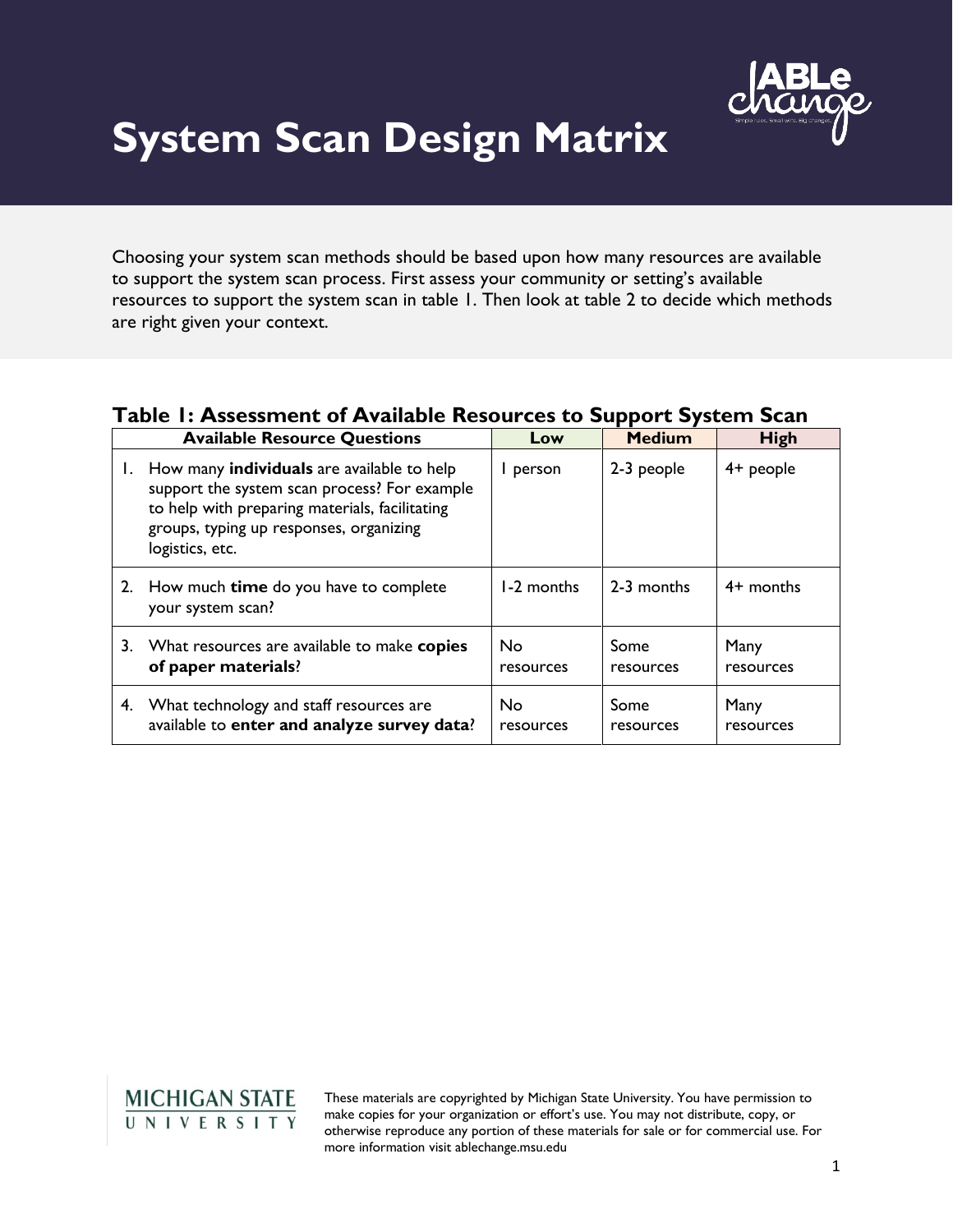

## **System Scan Design Matrix**

Choosing your system scan methods should be based upon how many resources are available to support the system scan process. First assess your community or setting's available resources to support the system scan in table 1. Then look at table 2 to decide which methods are right given your context.

## **Table 1: Assessment of Available Resources to Support System Scan**

| <b>Available Resource Questions</b> |                                                                                                                                                                                                                   | Low                         | <b>Medium</b>     | <b>High</b>       |
|-------------------------------------|-------------------------------------------------------------------------------------------------------------------------------------------------------------------------------------------------------------------|-----------------------------|-------------------|-------------------|
| Ι.                                  | How many <b>individuals</b> are available to help<br>support the system scan process? For example<br>to help with preparing materials, facilitating<br>groups, typing up responses, organizing<br>logistics, etc. | person                      | 2-3 people        | $4+$ people       |
|                                     | 2. How much time do you have to complete<br>your system scan?                                                                                                                                                     | 1-2 months                  | 2-3 months        | $4+$ months       |
|                                     | 3. What resources are available to make copies<br>of paper materials?                                                                                                                                             | N <sub>o</sub><br>resources | Some<br>resources | Many<br>resources |
| 4.                                  | What technology and staff resources are<br>available to enter and analyze survey data?                                                                                                                            | No.<br>resources            | Some<br>resources | Many<br>resources |

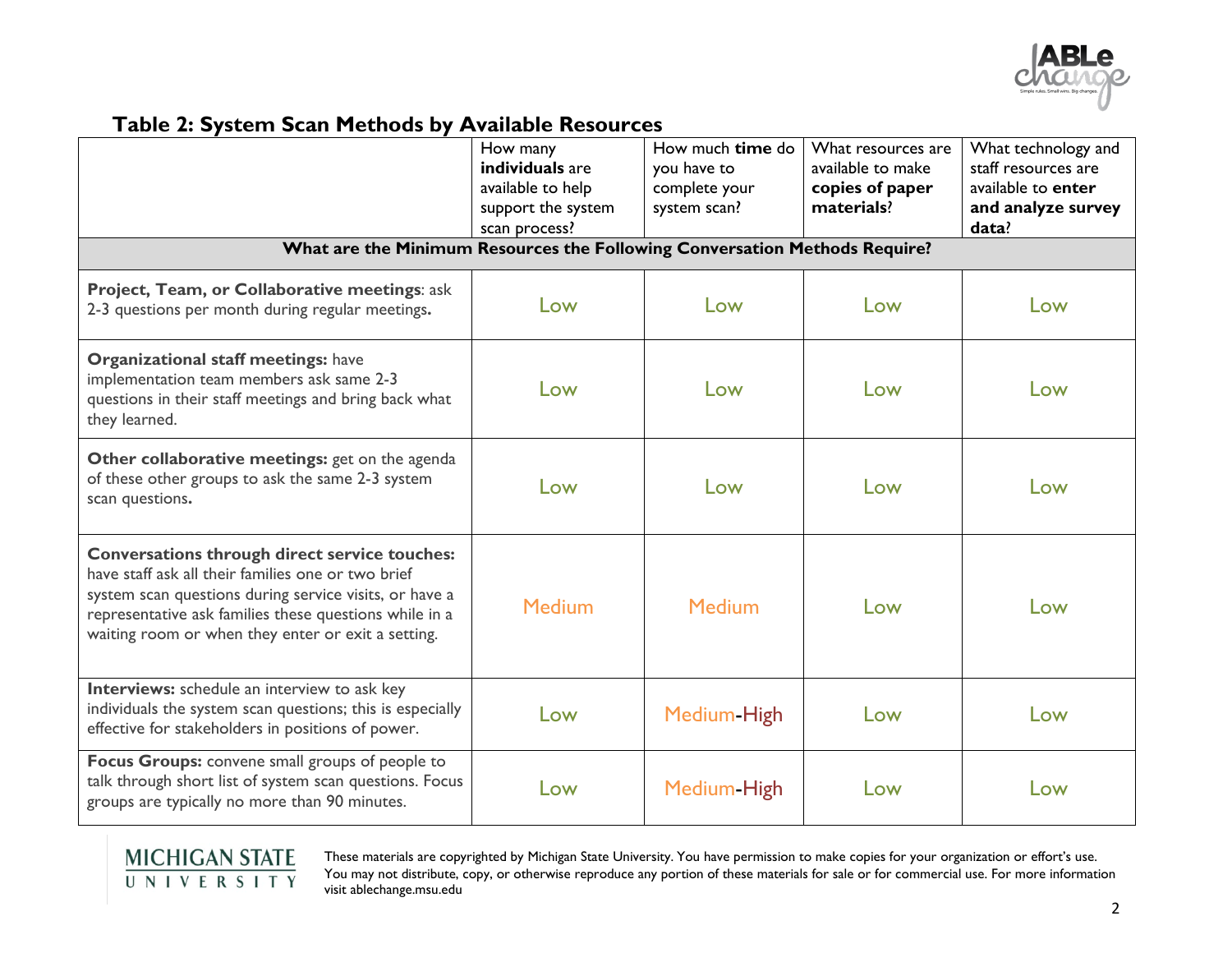

## **Table 2: System Scan Methods by Available Resources**

|                                                                                                                                                                                                                                                                                      | How many<br>individuals are<br>available to help<br>support the system<br>scan process? | How much time do<br>you have to<br>complete your<br>system scan? | What resources are<br>available to make<br>copies of paper<br>materials? | What technology and<br>staff resources are<br>available to enter<br>and analyze survey<br>data? |  |
|--------------------------------------------------------------------------------------------------------------------------------------------------------------------------------------------------------------------------------------------------------------------------------------|-----------------------------------------------------------------------------------------|------------------------------------------------------------------|--------------------------------------------------------------------------|-------------------------------------------------------------------------------------------------|--|
| What are the Minimum Resources the Following Conversation Methods Require?                                                                                                                                                                                                           |                                                                                         |                                                                  |                                                                          |                                                                                                 |  |
| Project, Team, or Collaborative meetings: ask<br>2-3 questions per month during regular meetings.                                                                                                                                                                                    | Low                                                                                     | Low                                                              | Low                                                                      | Low                                                                                             |  |
| <b>Organizational staff meetings: have</b><br>implementation team members ask same 2-3<br>questions in their staff meetings and bring back what<br>they learned.                                                                                                                     | Low                                                                                     | Low                                                              | Low                                                                      | Low                                                                                             |  |
| Other collaborative meetings: get on the agenda<br>of these other groups to ask the same 2-3 system<br>scan questions.                                                                                                                                                               | Low                                                                                     | Low                                                              | Low                                                                      | Low                                                                                             |  |
| <b>Conversations through direct service touches:</b><br>have staff ask all their families one or two brief<br>system scan questions during service visits, or have a<br>representative ask families these questions while in a<br>waiting room or when they enter or exit a setting. | <b>Medium</b>                                                                           | <b>Medium</b>                                                    | Low                                                                      | Low                                                                                             |  |
| Interviews: schedule an interview to ask key<br>individuals the system scan questions; this is especially<br>effective for stakeholders in positions of power.                                                                                                                       | Low                                                                                     | Medium-High                                                      | Low                                                                      | Low                                                                                             |  |
| Focus Groups: convene small groups of people to<br>talk through short list of system scan questions. Focus<br>groups are typically no more than 90 minutes.                                                                                                                          | Low                                                                                     | Medium-High                                                      | Low                                                                      | Low                                                                                             |  |

## MICHIGAN STATE<br>UNIVERSITY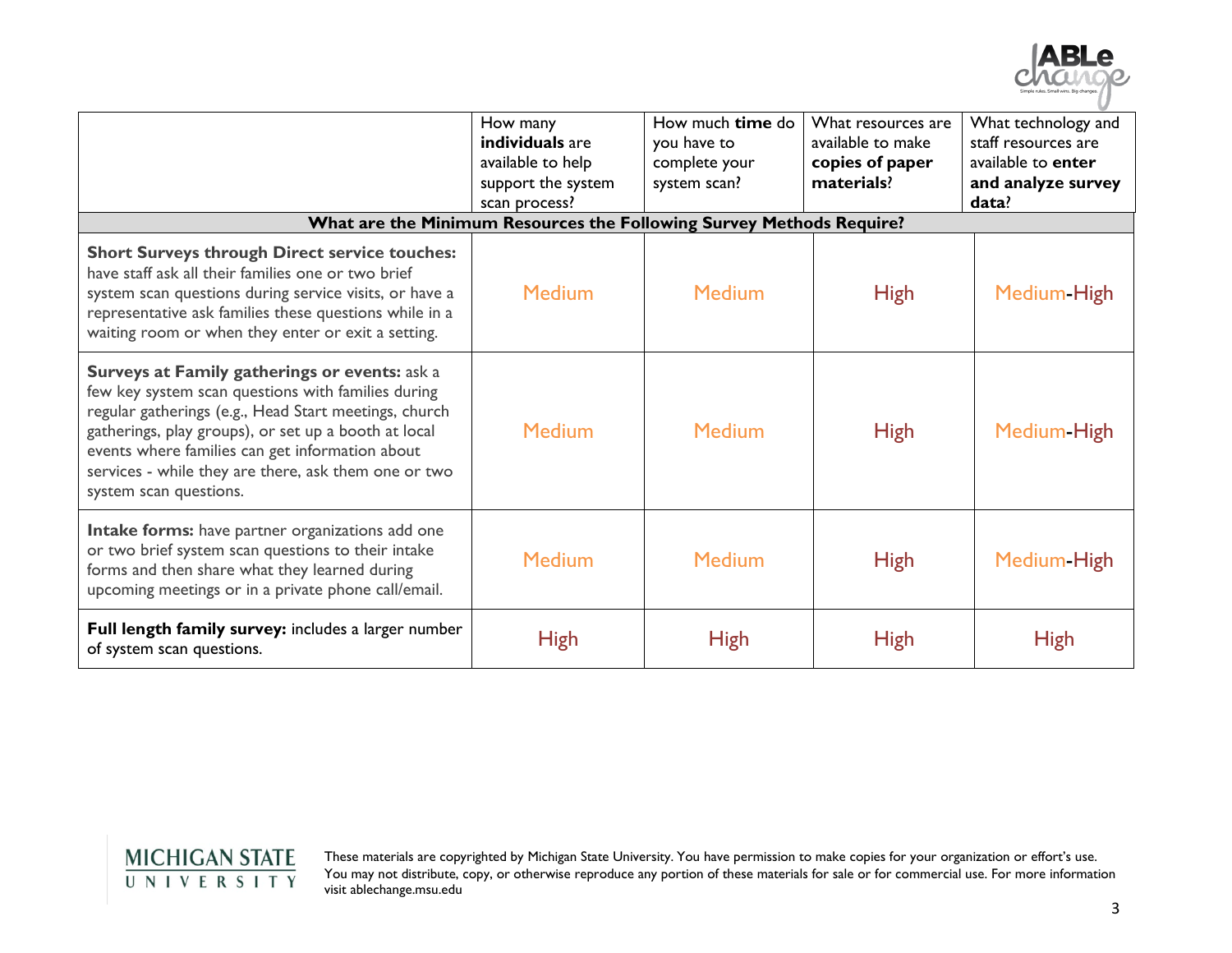

|                                                                                                                                                                                                                                                                                                                                                           | How many<br>individuals are<br>available to help<br>support the system<br>scan process? | How much time do<br>you have to<br>complete your<br>system scan? | What resources are<br>available to make<br>copies of paper<br>materials? | What technology and<br>staff resources are<br>available to enter<br>and analyze survey<br>data? |
|-----------------------------------------------------------------------------------------------------------------------------------------------------------------------------------------------------------------------------------------------------------------------------------------------------------------------------------------------------------|-----------------------------------------------------------------------------------------|------------------------------------------------------------------|--------------------------------------------------------------------------|-------------------------------------------------------------------------------------------------|
|                                                                                                                                                                                                                                                                                                                                                           | What are the Minimum Resources the Following Survey Methods Require?                    |                                                                  |                                                                          |                                                                                                 |
| <b>Short Surveys through Direct service touches:</b><br>have staff ask all their families one or two brief<br>system scan questions during service visits, or have a<br>representative ask families these questions while in a<br>waiting room or when they enter or exit a setting.                                                                      | <b>Medium</b>                                                                           | <b>Medium</b>                                                    | <b>High</b>                                                              | Medium-High                                                                                     |
| Surveys at Family gatherings or events: ask a<br>few key system scan questions with families during<br>regular gatherings (e.g., Head Start meetings, church<br>gatherings, play groups), or set up a booth at local<br>events where families can get information about<br>services - while they are there, ask them one or two<br>system scan questions. | <b>Medium</b>                                                                           | <b>Medium</b>                                                    | <b>High</b>                                                              | Medium-High                                                                                     |
| Intake forms: have partner organizations add one<br>or two brief system scan questions to their intake<br>forms and then share what they learned during<br>upcoming meetings or in a private phone call/email.                                                                                                                                            | <b>Medium</b>                                                                           | <b>Medium</b>                                                    | <b>High</b>                                                              | Medium-High                                                                                     |
| Full length family survey: includes a larger number<br>of system scan questions.                                                                                                                                                                                                                                                                          | <b>High</b>                                                                             | <b>High</b>                                                      | <b>High</b>                                                              | <b>High</b>                                                                                     |